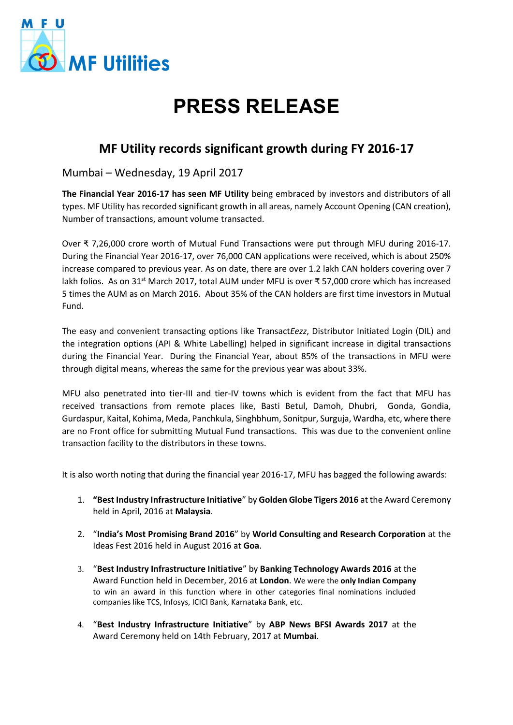

## **PRESS RELEASE**

## **MF Utility records significant growth during FY 2016-17**

Mumbai – Wednesday, 19 April 2017

**The Financial Year 2016-17 has seen MF Utility** being embraced by investors and distributors of all types. MF Utility has recorded significant growth in all areas, namely Account Opening (CAN creation), Number of transactions, amount volume transacted.

Over ₹ 7,26,000 crore worth of Mutual Fund Transactions were put through MFU during 2016-17. During the Financial Year 2016-17, over 76,000 CAN applications were received, which is about 250% increase compared to previous year. As on date, there are over 1.2 lakh CAN holders covering over 7 lakh folios. As on 31<sup>st</sup> March 2017, total AUM under MFU is over ₹ 57,000 crore which has increased 5 times the AUM as on March 2016. About 35% of the CAN holders are first time investors in Mutual Fund.

The easy and convenient transacting options like Transact*Eezz*, Distributor Initiated Login (DIL) and the integration options (API & White Labelling) helped in significant increase in digital transactions during the Financial Year. During the Financial Year, about 85% of the transactions in MFU were through digital means, whereas the same for the previous year was about 33%.

MFU also penetrated into tier-III and tier-IV towns which is evident from the fact that MFU has received transactions from remote places like, Basti Betul, Damoh, Dhubri, Gonda, Gondia, Gurdaspur, Kaital, Kohima, Meda, Panchkula, Singhbhum, Sonitpur, Surguja, Wardha, etc, where there are no Front office for submitting Mutual Fund transactions. This was due to the convenient online transaction facility to the distributors in these towns.

It is also worth noting that during the financial year 2016-17, MFU has bagged the following awards:

- 1. **"Best Industry Infrastructure Initiative**" by **Golden Globe Tigers 2016** at the Award Ceremony held in April, 2016 at **Malaysia**.
- 2. "**India's Most Promising Brand 2016**" by **World Consulting and Research Corporation** at the Ideas Fest 2016 held in August 2016 at **Goa**.
- 3. "**Best Industry Infrastructure Initiative**" by **Banking Technology Awards 2016** at the Award Function held in December, 2016 at **London**. We were the **only Indian Company** to win an award in this function where in other categories final nominations included companies like TCS, Infosys, ICICI Bank, Karnataka Bank, etc.
- 4. "**Best Industry Infrastructure Initiative**" by **ABP News BFSI Awards 2017** at the Award Ceremony held on 14th February, 2017 at **Mumbai**.